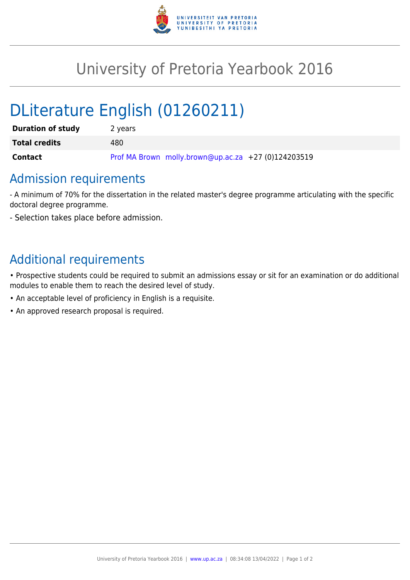

## University of Pretoria Yearbook 2016

# DLiterature English (01260211)

| <b>Duration of study</b> | 2 years                                             |
|--------------------------|-----------------------------------------------------|
| <b>Total credits</b>     | 480                                                 |
| Contact                  | Prof MA Brown molly.brown@up.ac.za +27 (0)124203519 |

#### Admission requirements

- A minimum of 70% for the dissertation in the related master's degree programme articulating with the specific doctoral degree programme.

- Selection takes place before admission.

### Additional requirements

• Prospective students could be required to submit an admissions essay or sit for an examination or do additional modules to enable them to reach the desired level of study.

- An acceptable level of proficiency in English is a requisite.
- An approved research proposal is required.